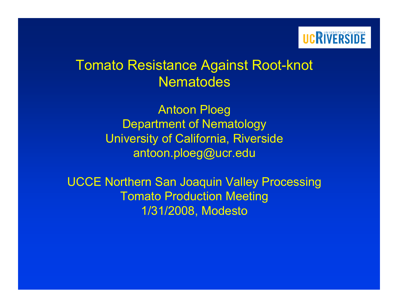

## Tomato Resistance Against Root-knot **Nematodes**

Antoon Ploeg Department of Nematology University of California, Riverside antoon.ploeg@ucr.edu

UCCE Northern San Joaquin Valley Processing Tomato Production Meeting 1/31/2008, Modesto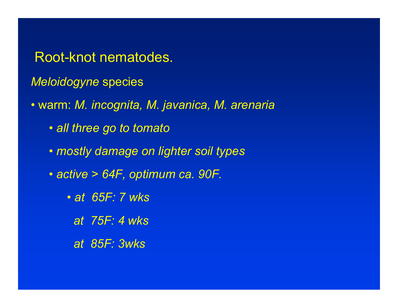Root-knot nematodes.

*Meloidogyne* species

• warm: *M. incognita, M. javanica, M. arenaria*

- *all three go to tomato*
- *mostly damage on lighter soil types*
- *active > 64F, optimum ca. 90F.*
	- *at 65F: 7 wks*
		- *at 75F: 4 wks*
		- *at 85F: 3wks*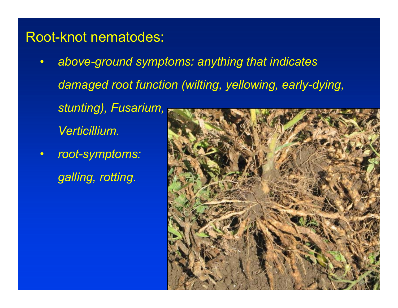#### Root-knot nematodes:

 $\bullet$  *above-ground symptoms: anything that indicates damaged root function (wilting, yellowing, early-dying, stunting), Fusarium,* 

*Verticillium.*

 $\bullet$  *root-symptoms: galling, rotting.*

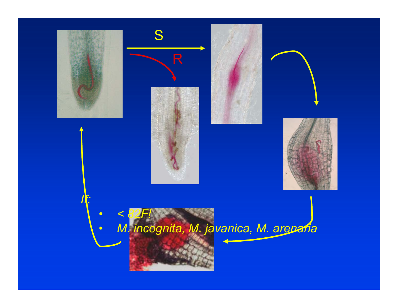







#### < 82F!<br>M. incognita, M. ja<mark>vanica, M. areparia</mark>  $\leq$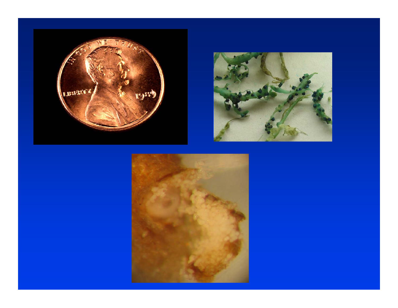



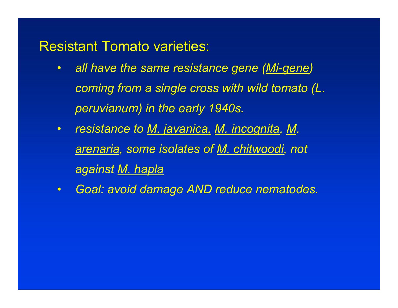#### Resistant Tomato varieties:

- $\bullet$  *all have the same resistance gene (Mi-gene) coming from a single cross with wild tomato (L. peruvianum) in the early 1940s.*
- $\bullet$  *resistance to M. javanica, M. incognita, M. arenaria, some isolates of M. chitwoodi, not against M. hapla*
- $\bullet$ *Goal: avoid damage AND reduce nematodes.*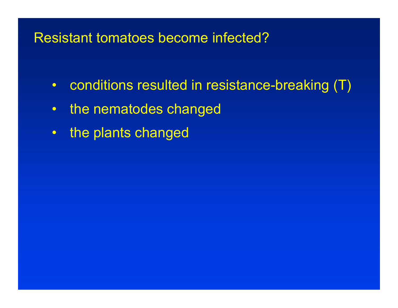#### Resistant tomatoes become infected?

- $\bullet$ conditions resulted in resistance-breaking (T)
- $\bullet$ the nematodes changed
- the plants changed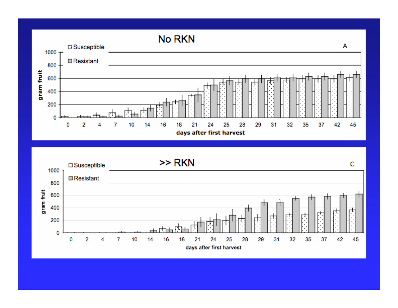#### No RKN



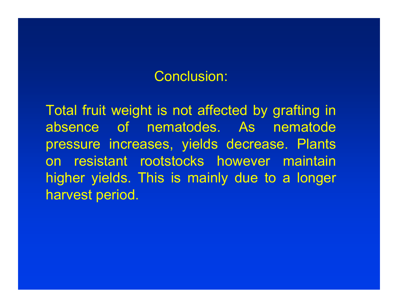## Conclusion:

Total fruit weight is not affected by grafting in absence of nematodes. As nematode pressure increases, yields decrease. Plants on resistant rootstocks however maintain higher yields. This is mainly due to a longer harvest period.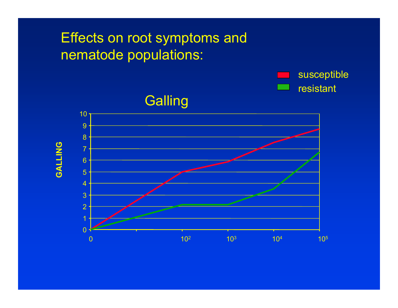## Effects on root symptoms and nematode populations:

**GALLING**

**GALLING** 





### **Galling**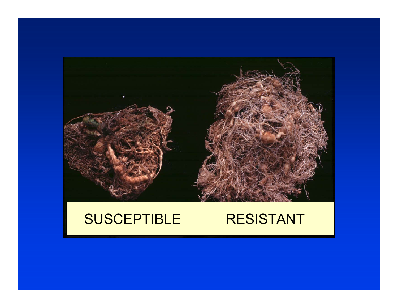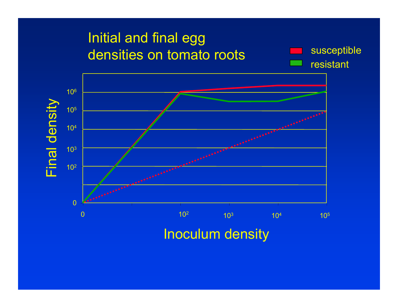# Initial and final egg densities on tomato roots





Inoculum density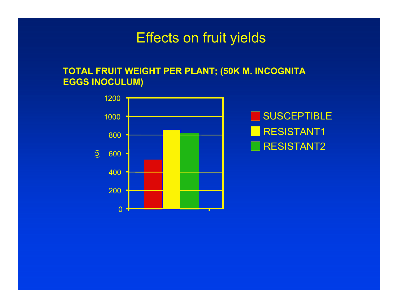#### Effects on fruit yields

#### **TOTAL FRUIT WEIGHT PER PLANT; (50K M. INCOGNITA EGGS INOCULUM)**



RESISTANT1 RESISTANT2 SUSCEPTIBLE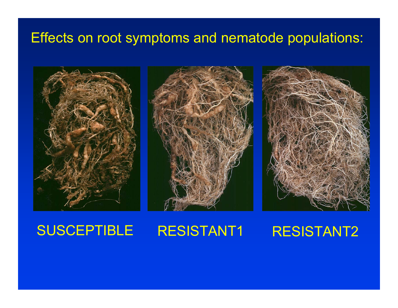## Effects on root symptoms and nematode populations:



#### SUSCEPTIBLEE RESISTANT1 RESISTANT2 RESISTANT1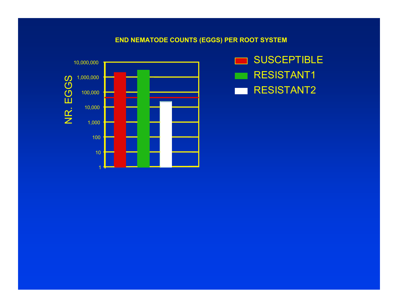#### **END NEMATODE COUNTS (EGGS) PER ROOT SYSTEM**



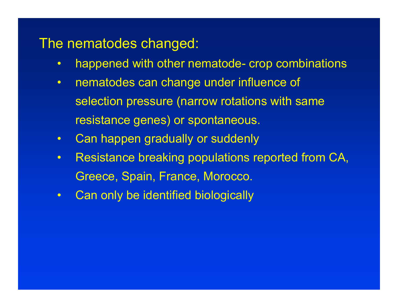#### The nematodes changed:

- $\bullet$ happened with other nematode- crop combinations
- $\bullet$  nematodes can change under influence of selection pressure (narrow rotations with same resistance genes) or spontaneous.
- $\bullet$ Can happen gradually or suddenly
- $\bullet$  Resistance breaking populations reported from CA, Greece, Spain, France, Morocco.
- $\bullet$ Can only be identified biologically